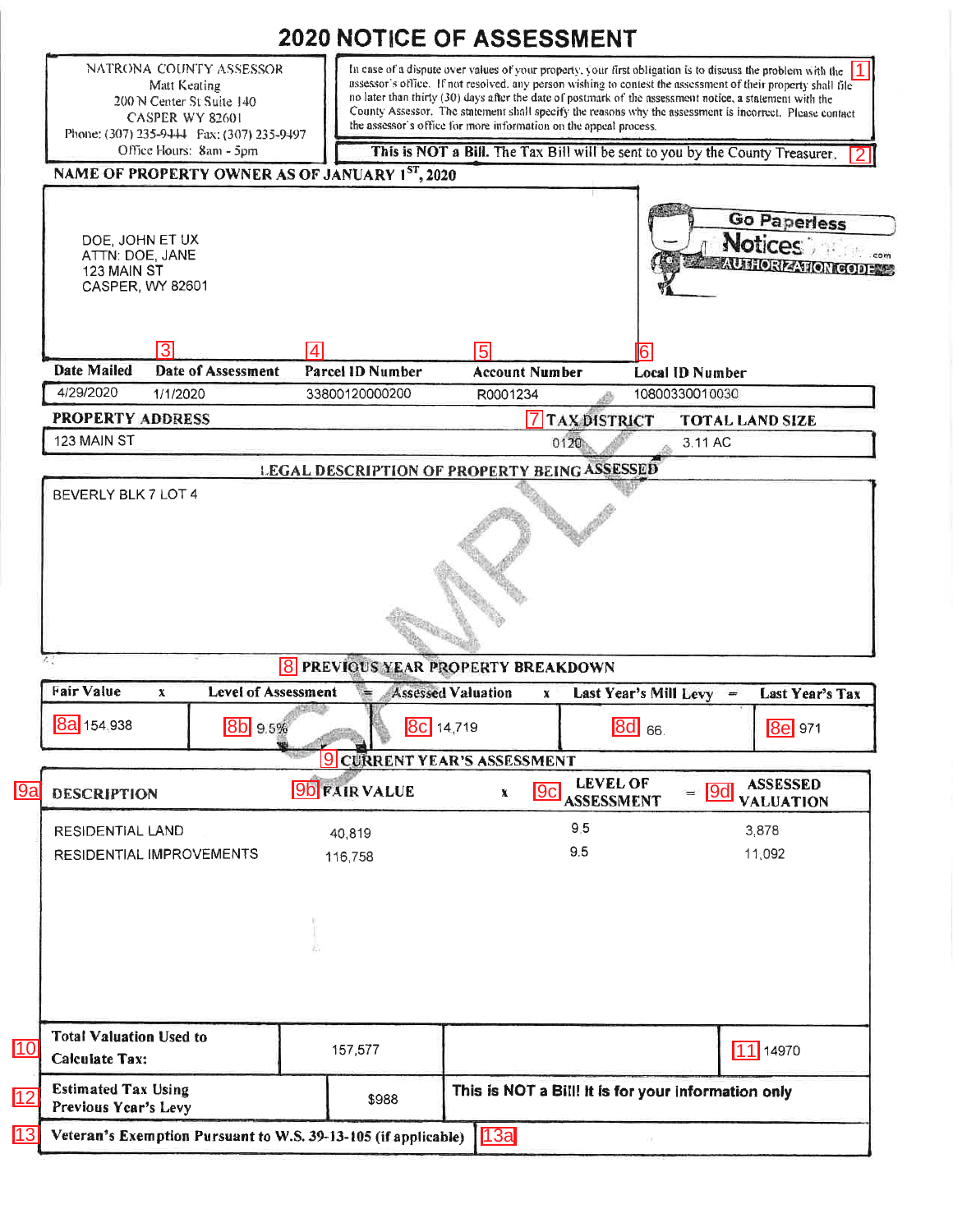|                                                         |                                                                                                                                              | 2020 NOTICE OF ASSESSMENT                                   |                                                                                                                                                                                                                                                                                                                                                                                                                                                                                                                           |                                |                 |                                                               |  |
|---------------------------------------------------------|----------------------------------------------------------------------------------------------------------------------------------------------|-------------------------------------------------------------|---------------------------------------------------------------------------------------------------------------------------------------------------------------------------------------------------------------------------------------------------------------------------------------------------------------------------------------------------------------------------------------------------------------------------------------------------------------------------------------------------------------------------|--------------------------------|-----------------|---------------------------------------------------------------|--|
|                                                         | NATRONA COUNTY ASSESSOR<br>Matt Keating<br>200 N Center St Suite 140<br><b>CASPER WY 82601</b><br>Phone: (307) 235-9444  Fax: (307) 235-9497 |                                                             | In case of a dispute over values of your property, your first obligation is to discuss the problem with the<br>assessor's office. If not resolved, any person wishing to contest the assessment of their property shall file<br>no later than thirty (30) days after the date of postmark of the assessment notice, a statement with the<br>County Assessor. The statement shall specify the reasons why the assessment is incorrect. Please contact<br>the assessor's office for more information on the appeal process. |                                |                 |                                                               |  |
|                                                         | Office Hours: 8am - 5pm                                                                                                                      |                                                             | This is NOT a Bill. The Tax Bill will be sent to you by the County Treasurer.                                                                                                                                                                                                                                                                                                                                                                                                                                             |                                |                 |                                                               |  |
|                                                         |                                                                                                                                              | NAME OF PROPERTY OWNER AS OF JANUARY 1 <sup>ST</sup> , 2020 |                                                                                                                                                                                                                                                                                                                                                                                                                                                                                                                           |                                |                 |                                                               |  |
| DOE, JOHN ET UX<br>ATTN: DOE, JANE<br>123 MAIN ST       | CASPER, WY 82601                                                                                                                             |                                                             |                                                                                                                                                                                                                                                                                                                                                                                                                                                                                                                           |                                |                 | <b>Go Paperless</b><br>Notices<br><b>AUTHORIZATION CODENS</b> |  |
|                                                         | 3                                                                                                                                            | $\vert$ 4                                                   | 15                                                                                                                                                                                                                                                                                                                                                                                                                                                                                                                        |                                |                 |                                                               |  |
| <b>Date Mailed</b>                                      | <b>Date of Assessment</b>                                                                                                                    | Parcel ID Number                                            | <b>Account Number</b>                                                                                                                                                                                                                                                                                                                                                                                                                                                                                                     |                                | Local ID Number |                                                               |  |
| 4/29/2020                                               | 1/1/2020                                                                                                                                     | 33800120000200                                              | R0001234                                                                                                                                                                                                                                                                                                                                                                                                                                                                                                                  |                                | 10800330010030  |                                                               |  |
| <b>PROPERTY ADDRESS</b>                                 |                                                                                                                                              |                                                             |                                                                                                                                                                                                                                                                                                                                                                                                                                                                                                                           | <b>7 TAX DISTRICT</b>          |                 | <b>TOTAL LAND SIZE</b>                                        |  |
| 123 MAIN ST                                             |                                                                                                                                              |                                                             | 0120                                                                                                                                                                                                                                                                                                                                                                                                                                                                                                                      |                                | 3.11 AC         |                                                               |  |
|                                                         |                                                                                                                                              | <b>LEGAL DESCRIPTION OF PROPERTY BEING ASSESSED</b>         |                                                                                                                                                                                                                                                                                                                                                                                                                                                                                                                           |                                |                 |                                                               |  |
|                                                         |                                                                                                                                              |                                                             |                                                                                                                                                                                                                                                                                                                                                                                                                                                                                                                           |                                |                 |                                                               |  |
| <b>Fair Value</b><br>8a 154,938                         | <b>Level of Assessment</b><br>$\mathbf x$<br>8b 9.5%                                                                                         | 8 PREVIOUS YEAR PROPERTY BREAKDOWN<br>8c 14,719             | <b>Assessed Valuation</b><br>$\mathbf{x}$<br><b>9 CURRENT YEAR'S ASSESSMENT</b>                                                                                                                                                                                                                                                                                                                                                                                                                                           | Last Year's Mill Levy<br>8d 66 | ×               | <b>Last Year's Tax</b><br>8e 971                              |  |
|                                                         |                                                                                                                                              |                                                             |                                                                                                                                                                                                                                                                                                                                                                                                                                                                                                                           | <b>LEVEL OF</b>                | $=$             | <b>ASSESSED</b>                                               |  |
| <b>DESCRIPTION</b>                                      |                                                                                                                                              | <b>9b FAIR VALUE</b>                                        | 9c<br>x                                                                                                                                                                                                                                                                                                                                                                                                                                                                                                                   | <b>ASSESSMENT</b>              | <b>9d</b>       | <b>VALUATION</b>                                              |  |
| RESIDENTIAL LAND                                        |                                                                                                                                              | 40,819                                                      |                                                                                                                                                                                                                                                                                                                                                                                                                                                                                                                           | 9.5                            |                 | 3,878                                                         |  |
|                                                         | RESIDENTIAL IMPROVEMENTS                                                                                                                     | 116,758                                                     |                                                                                                                                                                                                                                                                                                                                                                                                                                                                                                                           | 9.5                            |                 | 11,092                                                        |  |
|                                                         |                                                                                                                                              |                                                             |                                                                                                                                                                                                                                                                                                                                                                                                                                                                                                                           |                                |                 |                                                               |  |
| <b>Total Valuation Used to</b><br><b>Calculate Tax:</b> |                                                                                                                                              | 157,577                                                     |                                                                                                                                                                                                                                                                                                                                                                                                                                                                                                                           |                                |                 | 11 14970                                                      |  |
| <b>Estimated Tax Using</b><br>Previous Year's Levy      |                                                                                                                                              | \$988                                                       | This is NOT a Bill! It is for your information only                                                                                                                                                                                                                                                                                                                                                                                                                                                                       |                                |                 |                                                               |  |